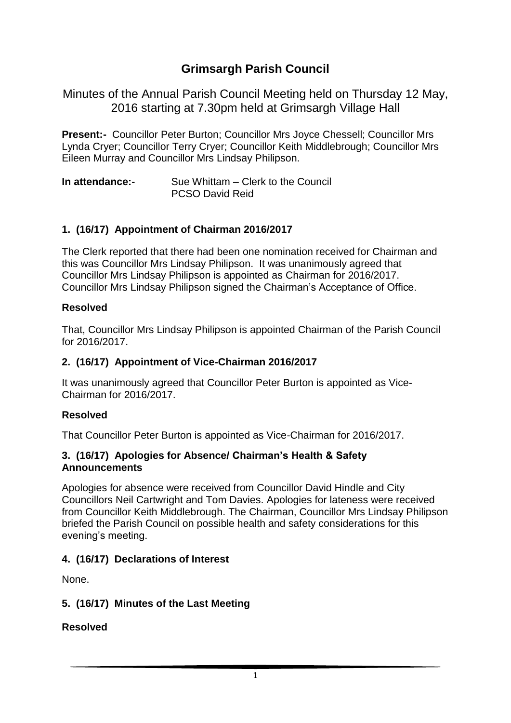# **Grimsargh Parish Council**

Minutes of the Annual Parish Council Meeting held on Thursday 12 May, 2016 starting at 7.30pm held at Grimsargh Village Hall

**Present:-** Councillor Peter Burton; Councillor Mrs Joyce Chessell; Councillor Mrs Lynda Cryer; Councillor Terry Cryer; Councillor Keith Middlebrough; Councillor Mrs Eileen Murray and Councillor Mrs Lindsay Philipson.

**In attendance:-** Sue Whittam – Clerk to the Council PCSO David Reid

## **1. (16/17) Appointment of Chairman 2016/2017**

The Clerk reported that there had been one nomination received for Chairman and this was Councillor Mrs Lindsay Philipson. It was unanimously agreed that Councillor Mrs Lindsay Philipson is appointed as Chairman for 2016/2017. Councillor Mrs Lindsay Philipson signed the Chairman's Acceptance of Office.

#### **Resolved**

That, Councillor Mrs Lindsay Philipson is appointed Chairman of the Parish Council for 2016/2017.

#### **2. (16/17) Appointment of Vice-Chairman 2016/2017**

It was unanimously agreed that Councillor Peter Burton is appointed as Vice-Chairman for 2016/2017.

#### **Resolved**

That Councillor Peter Burton is appointed as Vice-Chairman for 2016/2017.

#### **3. (16/17) Apologies for Absence/ Chairman's Health & Safety Announcements**

Apologies for absence were received from Councillor David Hindle and City Councillors Neil Cartwright and Tom Davies. Apologies for lateness were received from Councillor Keith Middlebrough. The Chairman, Councillor Mrs Lindsay Philipson briefed the Parish Council on possible health and safety considerations for this evening's meeting.

#### **4. (16/17) Declarations of Interest**

None.

#### **5. (16/17) Minutes of the Last Meeting**

#### **Resolved**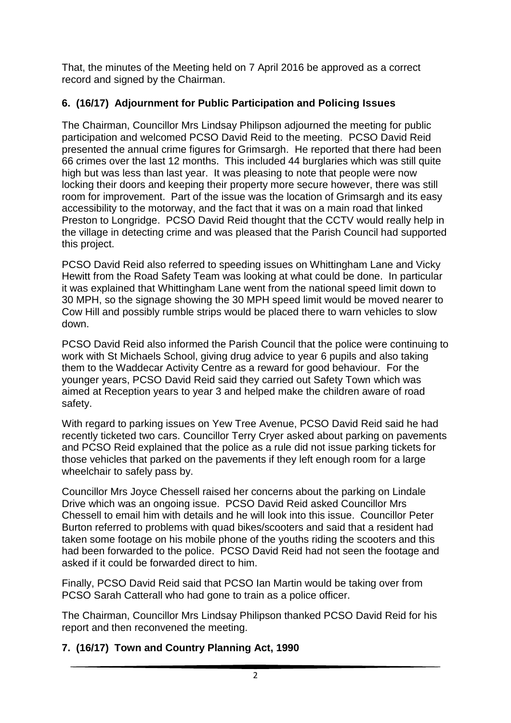That, the minutes of the Meeting held on 7 April 2016 be approved as a correct record and signed by the Chairman.

## **6. (16/17) Adjournment for Public Participation and Policing Issues**

The Chairman, Councillor Mrs Lindsay Philipson adjourned the meeting for public participation and welcomed PCSO David Reid to the meeting. PCSO David Reid presented the annual crime figures for Grimsargh. He reported that there had been 66 crimes over the last 12 months. This included 44 burglaries which was still quite high but was less than last year. It was pleasing to note that people were now locking their doors and keeping their property more secure however, there was still room for improvement. Part of the issue was the location of Grimsargh and its easy accessibility to the motorway, and the fact that it was on a main road that linked Preston to Longridge. PCSO David Reid thought that the CCTV would really help in the village in detecting crime and was pleased that the Parish Council had supported this project.

PCSO David Reid also referred to speeding issues on Whittingham Lane and Vicky Hewitt from the Road Safety Team was looking at what could be done. In particular it was explained that Whittingham Lane went from the national speed limit down to 30 MPH, so the signage showing the 30 MPH speed limit would be moved nearer to Cow Hill and possibly rumble strips would be placed there to warn vehicles to slow down.

PCSO David Reid also informed the Parish Council that the police were continuing to work with St Michaels School, giving drug advice to year 6 pupils and also taking them to the Waddecar Activity Centre as a reward for good behaviour. For the younger years, PCSO David Reid said they carried out Safety Town which was aimed at Reception years to year 3 and helped make the children aware of road safety.

With regard to parking issues on Yew Tree Avenue, PCSO David Reid said he had recently ticketed two cars. Councillor Terry Cryer asked about parking on pavements and PCSO Reid explained that the police as a rule did not issue parking tickets for those vehicles that parked on the pavements if they left enough room for a large wheelchair to safely pass by.

Councillor Mrs Joyce Chessell raised her concerns about the parking on Lindale Drive which was an ongoing issue. PCSO David Reid asked Councillor Mrs Chessell to email him with details and he will look into this issue. Councillor Peter Burton referred to problems with quad bikes/scooters and said that a resident had taken some footage on his mobile phone of the youths riding the scooters and this had been forwarded to the police. PCSO David Reid had not seen the footage and asked if it could be forwarded direct to him.

Finally, PCSO David Reid said that PCSO Ian Martin would be taking over from PCSO Sarah Catterall who had gone to train as a police officer.

The Chairman, Councillor Mrs Lindsay Philipson thanked PCSO David Reid for his report and then reconvened the meeting.

## **7. (16/17) Town and Country Planning Act, 1990**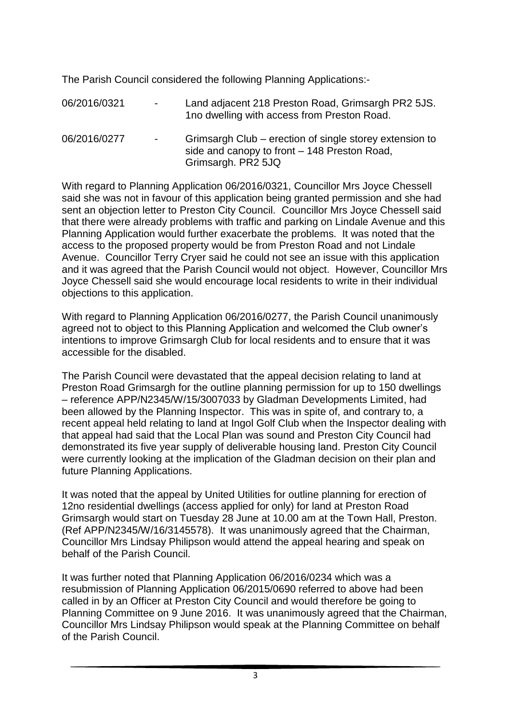The Parish Council considered the following Planning Applications:-

06/2016/0321 - Land adjacent 218 Preston Road, Grimsargh PR2 5JS. 1no dwelling with access from Preston Road. 06/2016/0277 - Grimsargh Club – erection of single storey extension to side and canopy to front – 148 Preston Road, Grimsargh. PR2 5JQ

With regard to Planning Application 06/2016/0321, Councillor Mrs Joyce Chessell said she was not in favour of this application being granted permission and she had sent an objection letter to Preston City Council. Councillor Mrs Joyce Chessell said that there were already problems with traffic and parking on Lindale Avenue and this Planning Application would further exacerbate the problems. It was noted that the access to the proposed property would be from Preston Road and not Lindale Avenue. Councillor Terry Cryer said he could not see an issue with this application and it was agreed that the Parish Council would not object. However, Councillor Mrs Joyce Chessell said she would encourage local residents to write in their individual objections to this application.

With regard to Planning Application 06/2016/0277, the Parish Council unanimously agreed not to object to this Planning Application and welcomed the Club owner's intentions to improve Grimsargh Club for local residents and to ensure that it was accessible for the disabled.

The Parish Council were devastated that the appeal decision relating to land at Preston Road Grimsargh for the outline planning permission for up to 150 dwellings – reference APP/N2345/W/15/3007033 by Gladman Developments Limited, had been allowed by the Planning Inspector. This was in spite of, and contrary to, a recent appeal held relating to land at Ingol Golf Club when the Inspector dealing with that appeal had said that the Local Plan was sound and Preston City Council had demonstrated its five year supply of deliverable housing land. Preston City Council were currently looking at the implication of the Gladman decision on their plan and future Planning Applications.

It was noted that the appeal by United Utilities for outline planning for erection of 12no residential dwellings (access applied for only) for land at Preston Road Grimsargh would start on Tuesday 28 June at 10.00 am at the Town Hall, Preston. (Ref APP/N2345/W/16/3145578). It was unanimously agreed that the Chairman, Councillor Mrs Lindsay Philipson would attend the appeal hearing and speak on behalf of the Parish Council.

It was further noted that Planning Application 06/2016/0234 which was a resubmission of Planning Application 06/2015/0690 referred to above had been called in by an Officer at Preston City Council and would therefore be going to Planning Committee on 9 June 2016. It was unanimously agreed that the Chairman, Councillor Mrs Lindsay Philipson would speak at the Planning Committee on behalf of the Parish Council.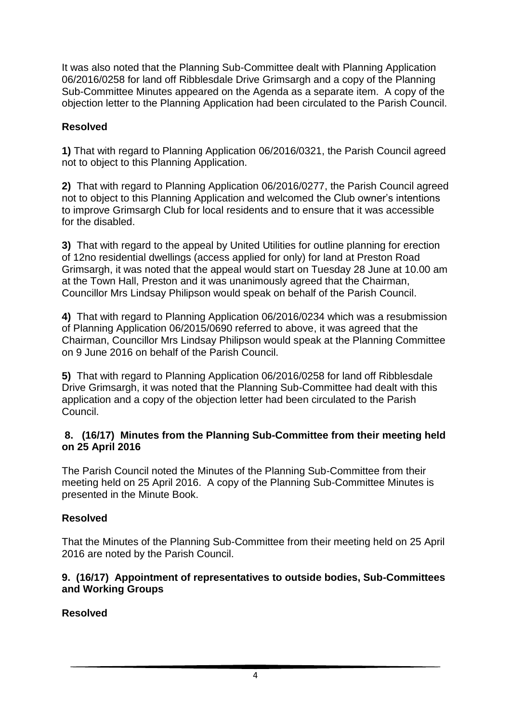It was also noted that the Planning Sub-Committee dealt with Planning Application 06/2016/0258 for land off Ribblesdale Drive Grimsargh and a copy of the Planning Sub-Committee Minutes appeared on the Agenda as a separate item. A copy of the objection letter to the Planning Application had been circulated to the Parish Council.

## **Resolved**

**1)** That with regard to Planning Application 06/2016/0321, the Parish Council agreed not to object to this Planning Application.

**2)** That with regard to Planning Application 06/2016/0277, the Parish Council agreed not to object to this Planning Application and welcomed the Club owner's intentions to improve Grimsargh Club for local residents and to ensure that it was accessible for the disabled.

**3)** That with regard to the appeal by United Utilities for outline planning for erection of 12no residential dwellings (access applied for only) for land at Preston Road Grimsargh, it was noted that the appeal would start on Tuesday 28 June at 10.00 am at the Town Hall, Preston and it was unanimously agreed that the Chairman, Councillor Mrs Lindsay Philipson would speak on behalf of the Parish Council.

**4)** That with regard to Planning Application 06/2016/0234 which was a resubmission of Planning Application 06/2015/0690 referred to above, it was agreed that the Chairman, Councillor Mrs Lindsay Philipson would speak at the Planning Committee on 9 June 2016 on behalf of the Parish Council.

**5)** That with regard to Planning Application 06/2016/0258 for land off Ribblesdale Drive Grimsargh, it was noted that the Planning Sub-Committee had dealt with this application and a copy of the objection letter had been circulated to the Parish Council.

#### **8. (16/17) Minutes from the Planning Sub-Committee from their meeting held on 25 April 2016**

The Parish Council noted the Minutes of the Planning Sub-Committee from their meeting held on 25 April 2016. A copy of the Planning Sub-Committee Minutes is presented in the Minute Book.

## **Resolved**

That the Minutes of the Planning Sub-Committee from their meeting held on 25 April 2016 are noted by the Parish Council.

### **9. (16/17) Appointment of representatives to outside bodies, Sub-Committees and Working Groups**

**Resolved**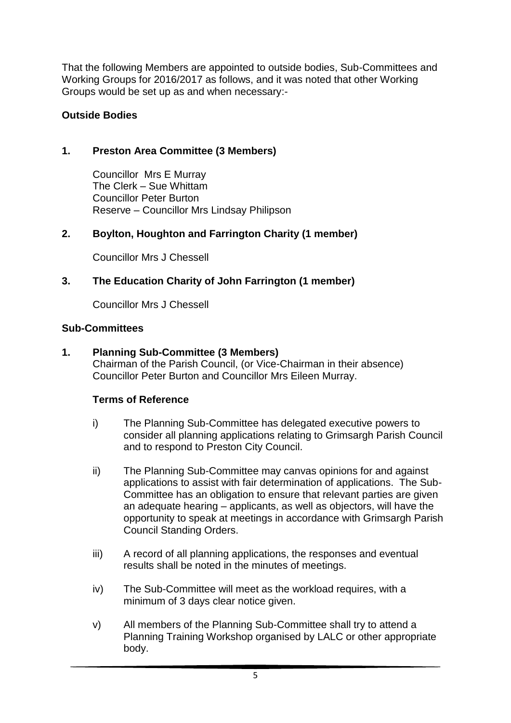That the following Members are appointed to outside bodies, Sub-Committees and Working Groups for 2016/2017 as follows, and it was noted that other Working Groups would be set up as and when necessary:-

## **Outside Bodies**

## **1. Preston Area Committee (3 Members)**

Councillor Mrs E Murray The Clerk – Sue Whittam Councillor Peter Burton Reserve – Councillor Mrs Lindsay Philipson

## **2. Boylton, Houghton and Farrington Charity (1 member)**

Councillor Mrs J Chessell

## **3. The Education Charity of John Farrington (1 member)**

Councillor Mrs J Chessell

## **Sub-Committees**

## **1. Planning Sub-Committee (3 Members)**

Chairman of the Parish Council, (or Vice-Chairman in their absence) Councillor Peter Burton and Councillor Mrs Eileen Murray.

## **Terms of Reference**

- i) The Planning Sub-Committee has delegated executive powers to consider all planning applications relating to Grimsargh Parish Council and to respond to Preston City Council.
- ii) The Planning Sub-Committee may canvas opinions for and against applications to assist with fair determination of applications. The Sub-Committee has an obligation to ensure that relevant parties are given an adequate hearing – applicants, as well as objectors, will have the opportunity to speak at meetings in accordance with Grimsargh Parish Council Standing Orders.
- iii) A record of all planning applications, the responses and eventual results shall be noted in the minutes of meetings.
- iv) The Sub-Committee will meet as the workload requires, with a minimum of 3 days clear notice given.
- v) All members of the Planning Sub-Committee shall try to attend a Planning Training Workshop organised by LALC or other appropriate body.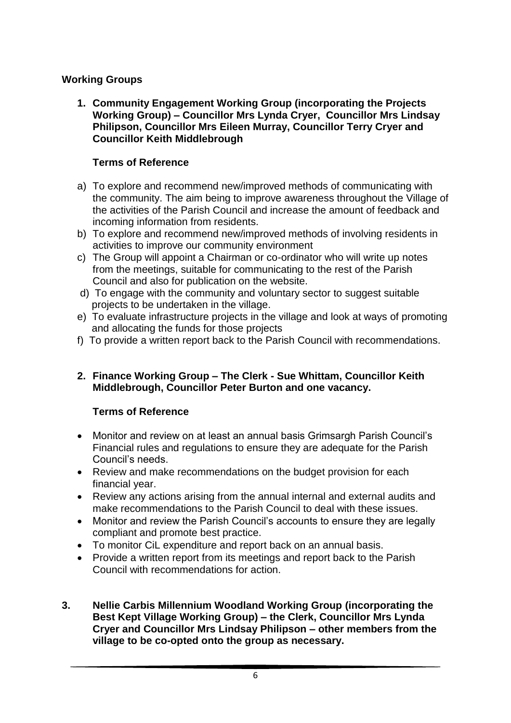## **Working Groups**

**1. Community Engagement Working Group (incorporating the Projects Working Group) – Councillor Mrs Lynda Cryer, Councillor Mrs Lindsay Philipson, Councillor Mrs Eileen Murray, Councillor Terry Cryer and Councillor Keith Middlebrough**

## **Terms of Reference**

- a) To explore and recommend new/improved methods of communicating with the community. The aim being to improve awareness throughout the Village of the activities of the Parish Council and increase the amount of feedback and incoming information from residents.
- b) To explore and recommend new/improved methods of involving residents in activities to improve our community environment
- c) The Group will appoint a Chairman or co-ordinator who will write up notes from the meetings, suitable for communicating to the rest of the Parish Council and also for publication on the website.
- d) To engage with the community and voluntary sector to suggest suitable projects to be undertaken in the village.
- e) To evaluate infrastructure projects in the village and look at ways of promoting and allocating the funds for those projects
- f) To provide a written report back to the Parish Council with recommendations.
- **2. Finance Working Group – The Clerk - Sue Whittam, Councillor Keith Middlebrough, Councillor Peter Burton and one vacancy.**

## **Terms of Reference**

- Monitor and review on at least an annual basis Grimsargh Parish Council's Financial rules and regulations to ensure they are adequate for the Parish Council's needs.
- Review and make recommendations on the budget provision for each financial year.
- Review any actions arising from the annual internal and external audits and make recommendations to the Parish Council to deal with these issues.
- Monitor and review the Parish Council's accounts to ensure they are legally compliant and promote best practice.
- To monitor CiL expenditure and report back on an annual basis.
- Provide a written report from its meetings and report back to the Parish Council with recommendations for action.
- **3. Nellie Carbis Millennium Woodland Working Group (incorporating the Best Kept Village Working Group) – the Clerk, Councillor Mrs Lynda Cryer and Councillor Mrs Lindsay Philipson – other members from the village to be co-opted onto the group as necessary.**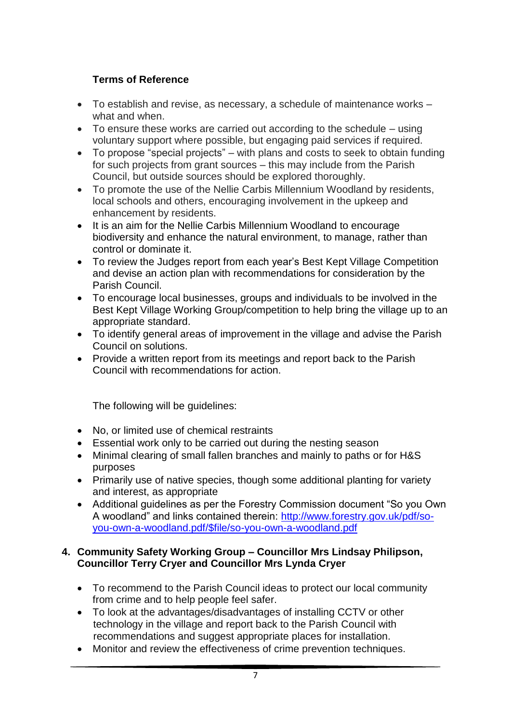## **Terms of Reference**

- To establish and revise, as necessary, a schedule of maintenance works what and when.
- To ensure these works are carried out according to the schedule using voluntary support where possible, but engaging paid services if required.
- To propose "special projects" with plans and costs to seek to obtain funding for such projects from grant sources – this may include from the Parish Council, but outside sources should be explored thoroughly.
- To promote the use of the Nellie Carbis Millennium Woodland by residents, local schools and others, encouraging involvement in the upkeep and enhancement by residents.
- It is an aim for the Nellie Carbis Millennium Woodland to encourage biodiversity and enhance the natural environment, to manage, rather than control or dominate it.
- To review the Judges report from each year's Best Kept Village Competition and devise an action plan with recommendations for consideration by the Parish Council.
- To encourage local businesses, groups and individuals to be involved in the Best Kept Village Working Group/competition to help bring the village up to an appropriate standard.
- To identify general areas of improvement in the village and advise the Parish Council on solutions.
- Provide a written report from its meetings and report back to the Parish Council with recommendations for action.

The following will be guidelines:

- No, or limited use of chemical restraints
- Essential work only to be carried out during the nesting season
- Minimal clearing of small fallen branches and mainly to paths or for H&S purposes
- Primarily use of native species, though some additional planting for variety and interest, as appropriate
- Additional quidelines as per the Forestry Commission document "So you Own A woodland" and links contained therein: [http://www.forestry.gov.uk/pdf/so](http://www.forestry.gov.uk/pdf/so-you-own-a-woodland.pdf/$file/so-you-own-a-woodland.pdf)[you-own-a-woodland.pdf/\\$file/so-you-own-a-woodland.pdf](http://www.forestry.gov.uk/pdf/so-you-own-a-woodland.pdf/$file/so-you-own-a-woodland.pdf)

#### **4. Community Safety Working Group – Councillor Mrs Lindsay Philipson, Councillor Terry Cryer and Councillor Mrs Lynda Cryer**

- To recommend to the Parish Council ideas to protect our local community from crime and to help people feel safer.
- To look at the advantages/disadvantages of installing CCTV or other technology in the village and report back to the Parish Council with recommendations and suggest appropriate places for installation.
- Monitor and review the effectiveness of crime prevention techniques.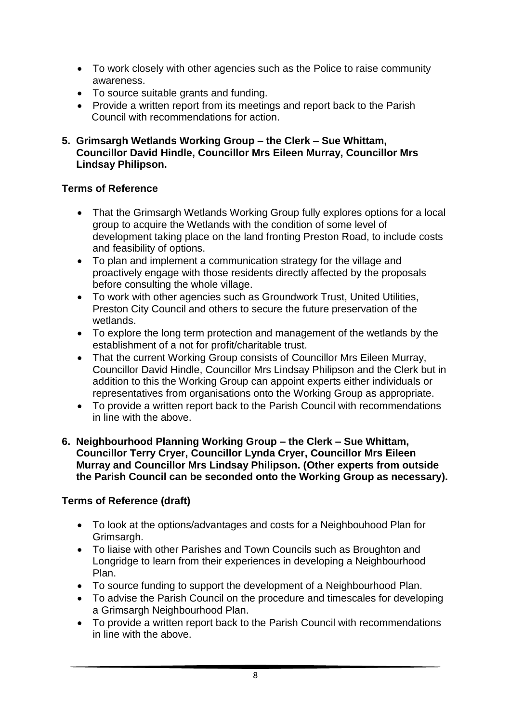- To work closely with other agencies such as the Police to raise community awareness.
- To source suitable grants and funding.
- Provide a written report from its meetings and report back to the Parish Council with recommendations for action.

#### **5. Grimsargh Wetlands Working Group – the Clerk – Sue Whittam, Councillor David Hindle, Councillor Mrs Eileen Murray, Councillor Mrs Lindsay Philipson.**

## **Terms of Reference**

- That the Grimsargh Wetlands Working Group fully explores options for a local group to acquire the Wetlands with the condition of some level of development taking place on the land fronting Preston Road, to include costs and feasibility of options.
- To plan and implement a communication strategy for the village and proactively engage with those residents directly affected by the proposals before consulting the whole village.
- To work with other agencies such as Groundwork Trust, United Utilities, Preston City Council and others to secure the future preservation of the wetlands.
- To explore the long term protection and management of the wetlands by the establishment of a not for profit/charitable trust.
- That the current Working Group consists of Councillor Mrs Eileen Murray, Councillor David Hindle, Councillor Mrs Lindsay Philipson and the Clerk but in addition to this the Working Group can appoint experts either individuals or representatives from organisations onto the Working Group as appropriate.
- To provide a written report back to the Parish Council with recommendations in line with the above.

#### **6. Neighbourhood Planning Working Group – the Clerk – Sue Whittam, Councillor Terry Cryer, Councillor Lynda Cryer, Councillor Mrs Eileen Murray and Councillor Mrs Lindsay Philipson. (Other experts from outside the Parish Council can be seconded onto the Working Group as necessary).**

# **Terms of Reference (draft)**

- To look at the options/advantages and costs for a Neighbouhood Plan for Grimsargh.
- To liaise with other Parishes and Town Councils such as Broughton and Longridge to learn from their experiences in developing a Neighbourhood Plan.
- To source funding to support the development of a Neighbourhood Plan.
- To advise the Parish Council on the procedure and timescales for developing a Grimsargh Neighbourhood Plan.
- To provide a written report back to the Parish Council with recommendations in line with the above.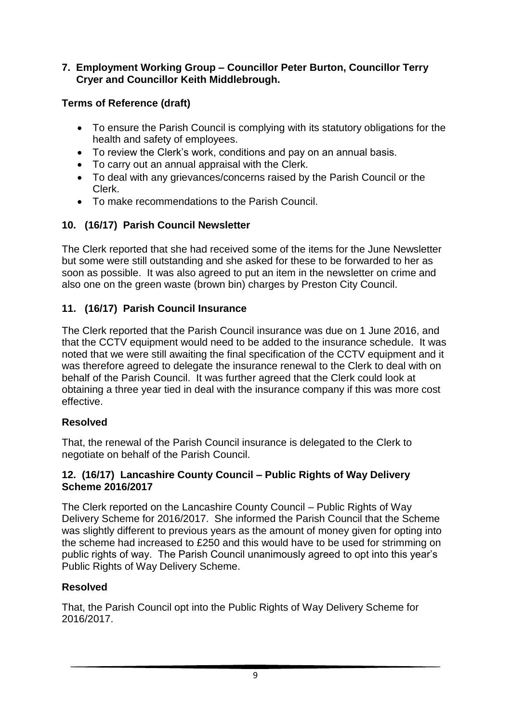### **7. Employment Working Group – Councillor Peter Burton, Councillor Terry Cryer and Councillor Keith Middlebrough.**

## **Terms of Reference (draft)**

- To ensure the Parish Council is complying with its statutory obligations for the health and safety of employees.
- To review the Clerk's work, conditions and pay on an annual basis.
- To carry out an annual appraisal with the Clerk.
- To deal with any grievances/concerns raised by the Parish Council or the Clerk.
- To make recommendations to the Parish Council.

## **10. (16/17) Parish Council Newsletter**

The Clerk reported that she had received some of the items for the June Newsletter but some were still outstanding and she asked for these to be forwarded to her as soon as possible. It was also agreed to put an item in the newsletter on crime and also one on the green waste (brown bin) charges by Preston City Council.

## **11. (16/17) Parish Council Insurance**

The Clerk reported that the Parish Council insurance was due on 1 June 2016, and that the CCTV equipment would need to be added to the insurance schedule. It was noted that we were still awaiting the final specification of the CCTV equipment and it was therefore agreed to delegate the insurance renewal to the Clerk to deal with on behalf of the Parish Council. It was further agreed that the Clerk could look at obtaining a three year tied in deal with the insurance company if this was more cost effective.

## **Resolved**

That, the renewal of the Parish Council insurance is delegated to the Clerk to negotiate on behalf of the Parish Council.

### **12. (16/17) Lancashire County Council – Public Rights of Way Delivery Scheme 2016/2017**

The Clerk reported on the Lancashire County Council – Public Rights of Way Delivery Scheme for 2016/2017. She informed the Parish Council that the Scheme was slightly different to previous years as the amount of money given for opting into the scheme had increased to £250 and this would have to be used for strimming on public rights of way. The Parish Council unanimously agreed to opt into this year's Public Rights of Way Delivery Scheme.

## **Resolved**

That, the Parish Council opt into the Public Rights of Way Delivery Scheme for 2016/2017.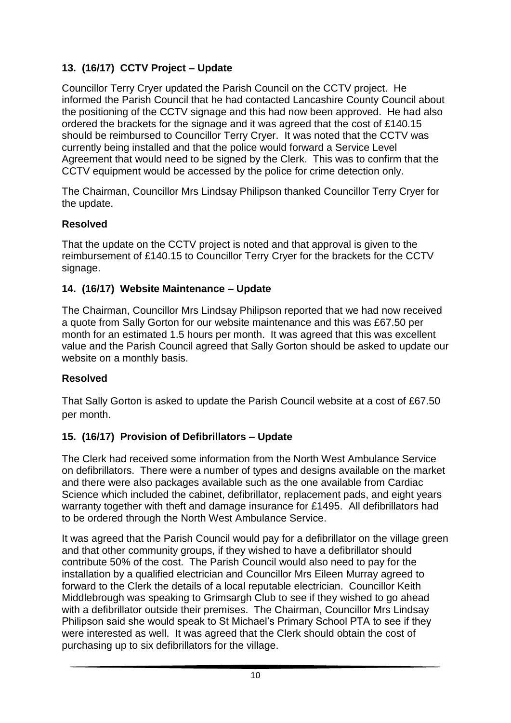# **13. (16/17) CCTV Project – Update**

Councillor Terry Cryer updated the Parish Council on the CCTV project. He informed the Parish Council that he had contacted Lancashire County Council about the positioning of the CCTV signage and this had now been approved. He had also ordered the brackets for the signage and it was agreed that the cost of £140.15 should be reimbursed to Councillor Terry Cryer. It was noted that the CCTV was currently being installed and that the police would forward a Service Level Agreement that would need to be signed by the Clerk. This was to confirm that the CCTV equipment would be accessed by the police for crime detection only.

The Chairman, Councillor Mrs Lindsay Philipson thanked Councillor Terry Cryer for the update.

## **Resolved**

That the update on the CCTV project is noted and that approval is given to the reimbursement of £140.15 to Councillor Terry Cryer for the brackets for the CCTV signage.

## **14. (16/17) Website Maintenance – Update**

The Chairman, Councillor Mrs Lindsay Philipson reported that we had now received a quote from Sally Gorton for our website maintenance and this was £67.50 per month for an estimated 1.5 hours per month. It was agreed that this was excellent value and the Parish Council agreed that Sally Gorton should be asked to update our website on a monthly basis.

## **Resolved**

That Sally Gorton is asked to update the Parish Council website at a cost of £67.50 per month.

## **15. (16/17) Provision of Defibrillators – Update**

The Clerk had received some information from the North West Ambulance Service on defibrillators. There were a number of types and designs available on the market and there were also packages available such as the one available from Cardiac Science which included the cabinet, defibrillator, replacement pads, and eight years warranty together with theft and damage insurance for £1495. All defibrillators had to be ordered through the North West Ambulance Service.

It was agreed that the Parish Council would pay for a defibrillator on the village green and that other community groups, if they wished to have a defibrillator should contribute 50% of the cost. The Parish Council would also need to pay for the installation by a qualified electrician and Councillor Mrs Eileen Murray agreed to forward to the Clerk the details of a local reputable electrician. Councillor Keith Middlebrough was speaking to Grimsargh Club to see if they wished to go ahead with a defibrillator outside their premises. The Chairman, Councillor Mrs Lindsay Philipson said she would speak to St Michael's Primary School PTA to see if they were interested as well. It was agreed that the Clerk should obtain the cost of purchasing up to six defibrillators for the village.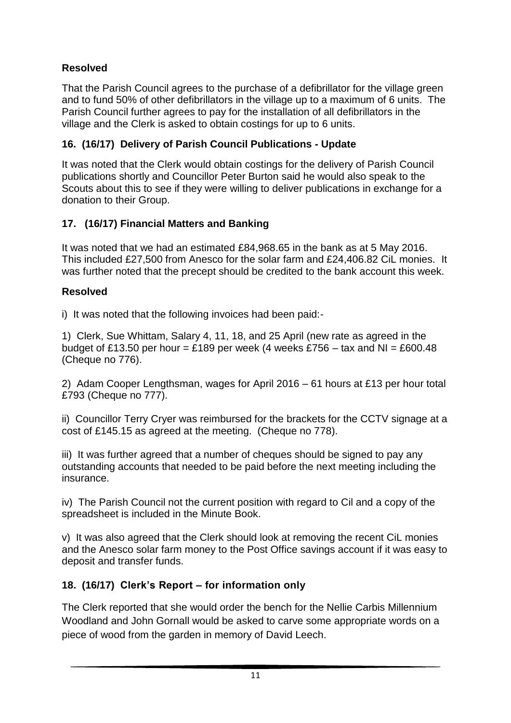# **Resolved**

That the Parish Council agrees to the purchase of a defibrillator for the village green and to fund 50% of other defibrillators in the village up to a maximum of 6 units. The Parish Council further agrees to pay for the installation of all defibrillators in the village and the Clerk is asked to obtain costings for up to 6 units.

# **16. (16/17) Delivery of Parish Council Publications - Update**

It was noted that the Clerk would obtain costings for the delivery of Parish Council publications shortly and Councillor Peter Burton said he would also speak to the Scouts about this to see if they were willing to deliver publications in exchange for a donation to their Group.

## **17. (16/17) Financial Matters and Banking**

It was noted that we had an estimated £84,968.65 in the bank as at 5 May 2016. This included £27,500 from Anesco for the solar farm and £24,406.82 CiL monies. It was further noted that the precept should be credited to the bank account this week.

## **Resolved**

i) It was noted that the following invoices had been paid:-

1) Clerk, Sue Whittam, Salary 4, 11, 18, and 25 April (new rate as agreed in the budget of £13.50 per hour = £189 per week (4 weeks £756 – tax and NI = £600.48 (Cheque no 776).

2) Adam Cooper Lengthsman, wages for April 2016 – 61 hours at £13 per hour total £793 (Cheque no 777).

ii) Councillor Terry Cryer was reimbursed for the brackets for the CCTV signage at a cost of £145.15 as agreed at the meeting. (Cheque no 778).

iii) It was further agreed that a number of cheques should be signed to pay any outstanding accounts that needed to be paid before the next meeting including the insurance.

iv) The Parish Council not the current position with regard to Cil and a copy of the spreadsheet is included in the Minute Book.

v) It was also agreed that the Clerk should look at removing the recent CiL monies and the Anesco solar farm money to the Post Office savings account if it was easy to deposit and transfer funds.

## **18. (16/17) Clerk's Report – for information only**

The Clerk reported that she would order the bench for the Nellie Carbis Millennium Woodland and John Gornall would be asked to carve some appropriate words on a piece of wood from the garden in memory of David Leech.